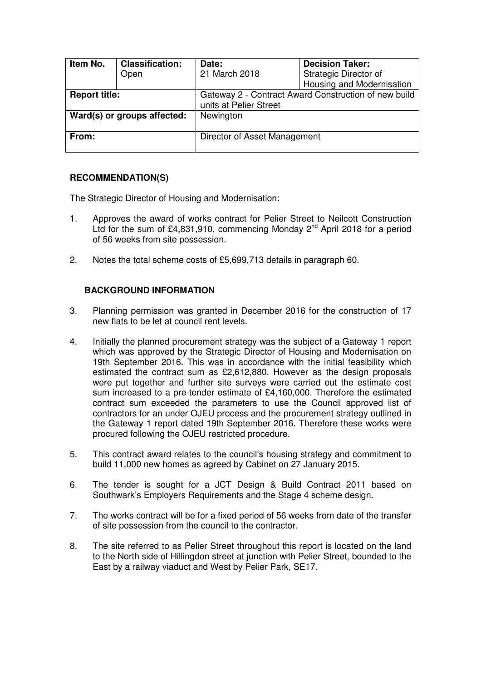| Item No.                    | <b>Classification:</b><br>Open | Date:<br>21 March 2018                                                         | <b>Decision Taker:</b><br>Strategic Director of |
|-----------------------------|--------------------------------|--------------------------------------------------------------------------------|-------------------------------------------------|
|                             |                                |                                                                                | Housing and Modernisation                       |
| <b>Report title:</b>        |                                | Gateway 2 - Contract Award Construction of new build<br>units at Pelier Street |                                                 |
| Ward(s) or groups affected: |                                | Newington                                                                      |                                                 |
| From:                       |                                | Director of Asset Management                                                   |                                                 |

## **RECOMMENDATION(S)**

The Strategic Director of Housing and Modernisation:

- 1. Approves the award of works contract for Pelier Street to Neilcott Construction Ltd for the sum of £4,831,910, commencing Monday  $2^{nd}$  April 2018 for a period of 56 weeks from site possession.
- 2. Notes the total scheme costs of £5,699,713 details in paragraph 60.

## **BACKGROUND INFORMATION**

- 3. Planning permission was granted in December 2016 for the construction of 17 new flats to be let at council rent levels.
- 4. Initially the planned procurement strategy was the subject of a Gateway 1 report which was approved by the Strategic Director of Housing and Modernisation on 19th September 2016. This was in accordance with the initial feasibility which estimated the contract sum as £2,612,880. However as the design proposals were put together and further site surveys were carried out the estimate cost sum increased to a pre-tender estimate of £4,160,000. Therefore the estimated contract sum exceeded the parameters to use the Council approved list of contractors for an under OJEU process and the procurement strategy outlined in the Gateway 1 report dated 19th September 2016. Therefore these works were procured following the OJEU restricted procedure.
- 5. This contract award relates to the council's housing strategy and commitment to build 11,000 new homes as agreed by Cabinet on 27 January 2015.
- 6. The tender is sought for a JCT Design & Build Contract 2011 based on Southwark's Employers Requirements and the Stage 4 scheme design.
- 7. The works contract will be for a fixed period of 56 weeks from date of the transfer of site possession from the council to the contractor.
- 8. The site referred to as Pelier Street throughout this report is located on the land to the North side of Hillingdon street at junction with Pelier Street, bounded to the East by a railway viaduct and West by Pelier Park, SE17.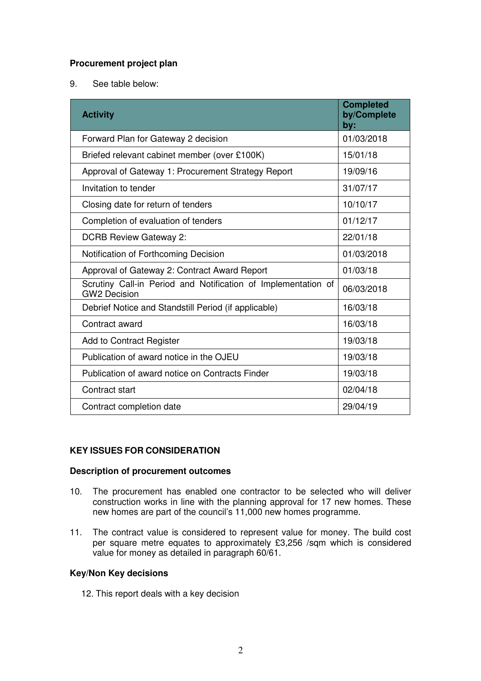# **Procurement project plan**

9. See table below:

| <b>Activity</b>                                                                      | <b>Completed</b><br>by/Complete<br>by: |
|--------------------------------------------------------------------------------------|----------------------------------------|
| Forward Plan for Gateway 2 decision                                                  | 01/03/2018                             |
| Briefed relevant cabinet member (over £100K)                                         | 15/01/18                               |
| Approval of Gateway 1: Procurement Strategy Report                                   | 19/09/16                               |
| Invitation to tender                                                                 | 31/07/17                               |
| Closing date for return of tenders                                                   | 10/10/17                               |
| Completion of evaluation of tenders                                                  | 01/12/17                               |
| <b>DCRB Review Gateway 2:</b>                                                        | 22/01/18                               |
| Notification of Forthcoming Decision                                                 | 01/03/2018                             |
| Approval of Gateway 2: Contract Award Report                                         | 01/03/18                               |
| Scrutiny Call-in Period and Notification of Implementation of<br><b>GW2 Decision</b> | 06/03/2018                             |
| Debrief Notice and Standstill Period (if applicable)                                 | 16/03/18                               |
| Contract award                                                                       | 16/03/18                               |
| Add to Contract Register                                                             | 19/03/18                               |
| Publication of award notice in the OJEU                                              | 19/03/18                               |
| Publication of award notice on Contracts Finder                                      | 19/03/18                               |
| Contract start                                                                       | 02/04/18                               |
| Contract completion date                                                             | 29/04/19                               |

# **KEY ISSUES FOR CONSIDERATION**

#### **Description of procurement outcomes**

- 10. The procurement has enabled one contractor to be selected who will deliver construction works in line with the planning approval for 17 new homes. These new homes are part of the council's 11,000 new homes programme.
- 11. The contract value is considered to represent value for money. The build cost per square metre equates to approximately £3,256 /sqm which is considered value for money as detailed in paragraph 60/61.

#### **Key/Non Key decisions**

12. This report deals with a key decision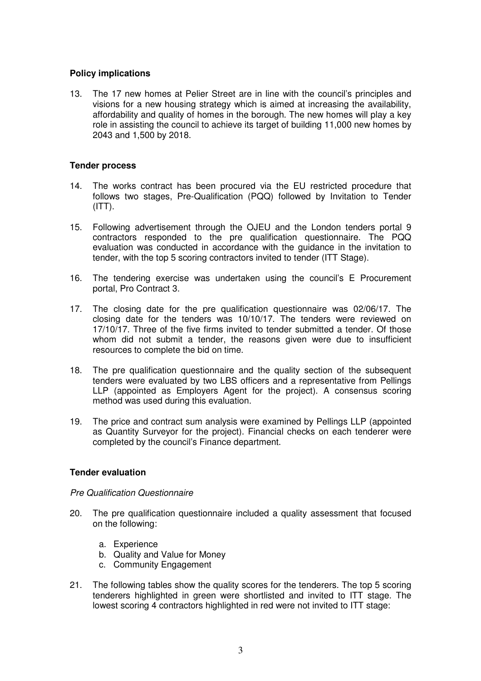## **Policy implications**

13. The 17 new homes at Pelier Street are in line with the council's principles and visions for a new housing strategy which is aimed at increasing the availability, affordability and quality of homes in the borough. The new homes will play a key role in assisting the council to achieve its target of building 11,000 new homes by 2043 and 1,500 by 2018.

#### **Tender process**

- 14. The works contract has been procured via the EU restricted procedure that follows two stages, Pre-Qualification (PQQ) followed by Invitation to Tender  $(ITT)$ .
- 15. Following advertisement through the OJEU and the London tenders portal 9 contractors responded to the pre qualification questionnaire. The PQQ evaluation was conducted in accordance with the guidance in the invitation to tender, with the top 5 scoring contractors invited to tender (ITT Stage).
- 16. The tendering exercise was undertaken using the council's E Procurement portal, Pro Contract 3.
- 17. The closing date for the pre qualification questionnaire was 02/06/17. The closing date for the tenders was 10/10/17. The tenders were reviewed on 17/10/17. Three of the five firms invited to tender submitted a tender. Of those whom did not submit a tender, the reasons given were due to insufficient resources to complete the bid on time.
- 18. The pre qualification questionnaire and the quality section of the subsequent tenders were evaluated by two LBS officers and a representative from Pellings LLP (appointed as Employers Agent for the project). A consensus scoring method was used during this evaluation.
- 19. The price and contract sum analysis were examined by Pellings LLP (appointed as Quantity Surveyor for the project). Financial checks on each tenderer were completed by the council's Finance department.

#### **Tender evaluation**

#### Pre Qualification Questionnaire

- 20. The pre qualification questionnaire included a quality assessment that focused on the following:
	- a. Experience
	- b. Quality and Value for Money
	- c. Community Engagement
- 21. The following tables show the quality scores for the tenderers. The top 5 scoring tenderers highlighted in green were shortlisted and invited to ITT stage. The lowest scoring 4 contractors highlighted in red were not invited to ITT stage: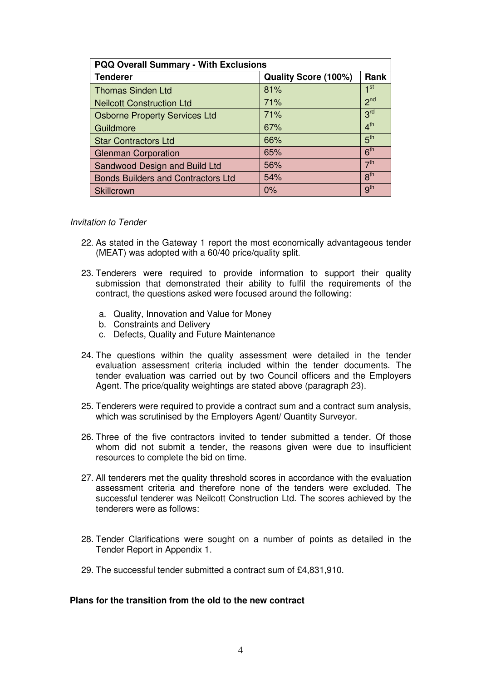| <b>PQQ Overall Summary - With Exclusions</b> |                      |                 |  |
|----------------------------------------------|----------------------|-----------------|--|
| <b>Tenderer</b>                              | Quality Score (100%) | <b>Rank</b>     |  |
| <b>Thomas Sinden Ltd</b>                     | 81%                  | 1 <sup>st</sup> |  |
| <b>Neilcott Construction Ltd</b>             | 71%                  | 2 <sup>nd</sup> |  |
| <b>Osborne Property Services Ltd</b>         | 71%                  | 3 <sup>rd</sup> |  |
| Guildmore                                    | 67%                  | 4 <sup>th</sup> |  |
| <b>Star Contractors Ltd</b>                  | 66%                  | 5 <sup>th</sup> |  |
| <b>Glenman Corporation</b>                   | 65%                  | 6 <sup>th</sup> |  |
| Sandwood Design and Build Ltd                | 56%                  | 7 <sup>th</sup> |  |
| <b>Bonds Builders and Contractors Ltd</b>    | 54%                  | 8 <sup>th</sup> |  |
| Skillcrown                                   | $0\%$                | 9 <sup>th</sup> |  |

#### Invitation to Tender

- 22. As stated in the Gateway 1 report the most economically advantageous tender (MEAT) was adopted with a 60/40 price/quality split.
- 23. Tenderers were required to provide information to support their quality submission that demonstrated their ability to fulfil the requirements of the contract, the questions asked were focused around the following:
	- a. Quality, Innovation and Value for Money
	- b. Constraints and Delivery
	- c. Defects, Quality and Future Maintenance
- 24. The questions within the quality assessment were detailed in the tender evaluation assessment criteria included within the tender documents. The tender evaluation was carried out by two Council officers and the Employers Agent. The price/quality weightings are stated above (paragraph 23).
- 25. Tenderers were required to provide a contract sum and a contract sum analysis, which was scrutinised by the Employers Agent/ Quantity Surveyor.
- 26. Three of the five contractors invited to tender submitted a tender. Of those whom did not submit a tender, the reasons given were due to insufficient resources to complete the bid on time.
- 27. All tenderers met the quality threshold scores in accordance with the evaluation assessment criteria and therefore none of the tenders were excluded. The successful tenderer was Neilcott Construction Ltd. The scores achieved by the tenderers were as follows:
- 28. Tender Clarifications were sought on a number of points as detailed in the Tender Report in Appendix 1.
- 29. The successful tender submitted a contract sum of £4,831,910.

#### **Plans for the transition from the old to the new contract**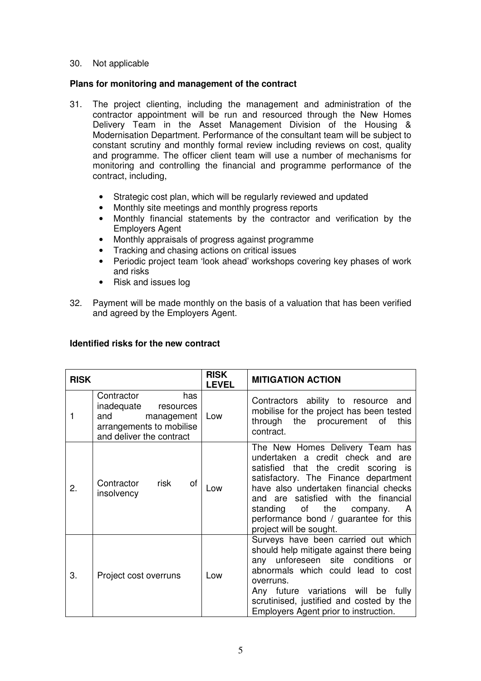#### 30. Not applicable

#### **Plans for monitoring and management of the contract**

- 31. The project clienting, including the management and administration of the contractor appointment will be run and resourced through the New Homes Delivery Team in the Asset Management Division of the Housing & Modernisation Department. Performance of the consultant team will be subject to constant scrutiny and monthly formal review including reviews on cost, quality and programme. The officer client team will use a number of mechanisms for monitoring and controlling the financial and programme performance of the contract, including,
	- Strategic cost plan, which will be regularly reviewed and updated
	- Monthly site meetings and monthly progress reports
	- Monthly financial statements by the contractor and verification by the Employers Agent
	- Monthly appraisals of progress against programme
	- Tracking and chasing actions on critical issues
	- Periodic project team 'look ahead' workshops covering key phases of work and risks
	- Risk and issues log
- 32. Payment will be made monthly on the basis of a valuation that has been verified and agreed by the Employers Agent.

#### **Identified risks for the new contract**

| <b>RISK</b> |                                                                                                                           | <b>RISK</b><br><b>LEVEL</b> | <b>MITIGATION ACTION</b>                                                                                                                                                                                                                                                                                                                         |
|-------------|---------------------------------------------------------------------------------------------------------------------------|-----------------------------|--------------------------------------------------------------------------------------------------------------------------------------------------------------------------------------------------------------------------------------------------------------------------------------------------------------------------------------------------|
|             | Contractor<br>has<br>inadequate<br>resources<br>and<br>management<br>arrangements to mobilise<br>and deliver the contract | Low                         | Contractors ability to resource and<br>mobilise for the project has been tested<br>the<br>through<br>procurement<br>of<br>this<br>contract.                                                                                                                                                                                                      |
| 2.          | of<br>Contractor risk<br>insolvency                                                                                       | Low                         | The New Homes Delivery Team has<br>undertaken a credit check and are<br>satisfied that the credit scoring is<br>satisfactory. The Finance department<br>have also undertaken financial checks<br>and are satisfied with the financial<br>standing<br>of the<br>company.<br>A<br>performance bond / guarantee for this<br>project will be sought. |
| 3.          | Project cost overruns                                                                                                     | Low                         | Surveys have been carried out which<br>should help mitigate against there being<br>any unforeseen site conditions<br><b>or</b><br>abnormals which could lead to cost<br>overruns.<br>Any future variations will be fully<br>scrutinised, justified and costed by the<br>Employers Agent prior to instruction.                                    |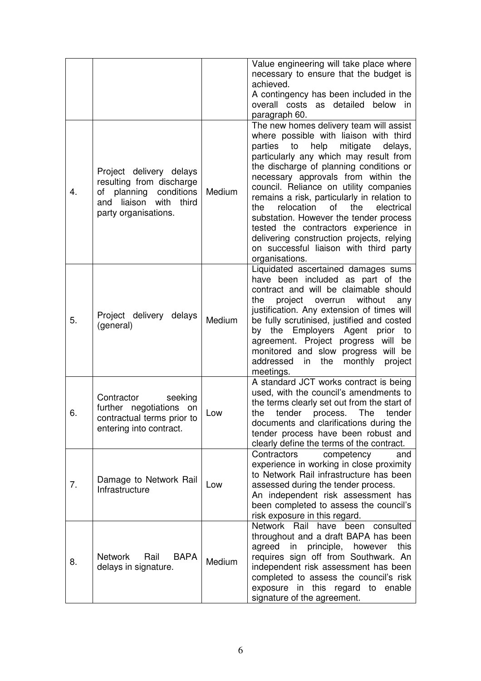|    |                                                                                                                                    |        | Value engineering will take place where<br>necessary to ensure that the budget is<br>achieved.<br>A contingency has been included in the<br>overall costs as detailed below in<br>paragraph 60.                                                                                                                                                                                                                                                                                                                                                                                                |
|----|------------------------------------------------------------------------------------------------------------------------------------|--------|------------------------------------------------------------------------------------------------------------------------------------------------------------------------------------------------------------------------------------------------------------------------------------------------------------------------------------------------------------------------------------------------------------------------------------------------------------------------------------------------------------------------------------------------------------------------------------------------|
| 4. | Project delivery delays<br>resulting from discharge<br>of planning conditions<br>liaison with third<br>and<br>party organisations. | Medium | The new homes delivery team will assist<br>where possible with liaison with third<br>help<br>mitigate<br>parties<br>to<br>delays,<br>particularly any which may result from<br>the discharge of planning conditions or<br>necessary approvals from within the<br>council. Reliance on utility companies<br>remains a risk, particularly in relation to<br>relocation<br>of the<br>the<br>electrical<br>substation. However the tender process<br>tested the contractors experience in<br>delivering construction projects, relying<br>on successful liaison with third party<br>organisations. |
| 5. | Project delivery delays<br>(general)                                                                                               | Medium | Liquidated ascertained damages sums<br>have been included as part of the<br>contract and will be claimable should<br>project overrun without<br>the<br>any<br>justification. Any extension of times will<br>be fully scrutinised, justified and costed<br>by the Employers Agent prior<br>to<br>agreement. Project progress will<br>be<br>monitored and slow progress will<br>be<br>addressed<br>monthly<br>in<br>the<br>project<br>meetings.                                                                                                                                                  |
| 6. | Contractor<br>seeking<br>further negotiations on<br>contractual terms prior to<br>entering into contract.                          | Low    | A standard JCT works contract is being<br>used, with the council's amendments to<br>the terms clearly set out from the start of<br>the<br>tender<br>process.<br>The<br>tender<br>documents and clarifications during the<br>tender process have been robust and<br>clearly define the terms of the contract.                                                                                                                                                                                                                                                                                   |
| 7. | Damage to Network Rail<br>Infrastructure                                                                                           | Low    | Contractors<br>competency<br>and<br>experience in working in close proximity<br>to Network Rail infrastructure has been<br>assessed during the tender process.<br>An independent risk assessment has<br>been completed to assess the council's<br>risk exposure in this regard.                                                                                                                                                                                                                                                                                                                |
| 8. | <b>BAPA</b><br><b>Network</b><br>Rail<br>delays in signature.                                                                      | Medium | Network Rail have been consulted<br>throughout and a draft BAPA has been<br>agreed in principle, however<br>this<br>requires sign off from Southwark. An<br>independent risk assessment has been<br>completed to assess the council's risk<br>exposure in this regard to enable<br>signature of the agreement.                                                                                                                                                                                                                                                                                 |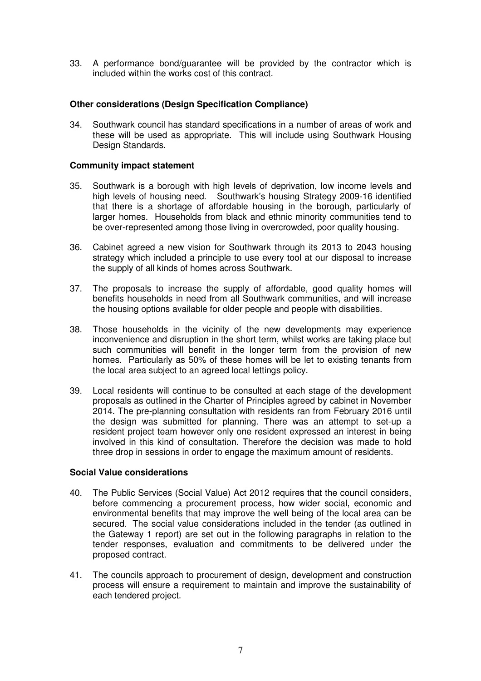33. A performance bond/guarantee will be provided by the contractor which is included within the works cost of this contract.

#### **Other considerations (Design Specification Compliance)**

34. Southwark council has standard specifications in a number of areas of work and these will be used as appropriate. This will include using Southwark Housing Design Standards.

#### **Community impact statement**

- 35. Southwark is a borough with high levels of deprivation, low income levels and high levels of housing need. Southwark's housing Strategy 2009-16 identified that there is a shortage of affordable housing in the borough, particularly of larger homes. Households from black and ethnic minority communities tend to be over-represented among those living in overcrowded, poor quality housing.
- 36. Cabinet agreed a new vision for Southwark through its 2013 to 2043 housing strategy which included a principle to use every tool at our disposal to increase the supply of all kinds of homes across Southwark.
- 37. The proposals to increase the supply of affordable, good quality homes will benefits households in need from all Southwark communities, and will increase the housing options available for older people and people with disabilities.
- 38. Those households in the vicinity of the new developments may experience inconvenience and disruption in the short term, whilst works are taking place but such communities will benefit in the longer term from the provision of new homes. Particularly as 50% of these homes will be let to existing tenants from the local area subject to an agreed local lettings policy.
- 39. Local residents will continue to be consulted at each stage of the development proposals as outlined in the Charter of Principles agreed by cabinet in November 2014. The pre-planning consultation with residents ran from February 2016 until the design was submitted for planning. There was an attempt to set-up a resident project team however only one resident expressed an interest in being involved in this kind of consultation. Therefore the decision was made to hold three drop in sessions in order to engage the maximum amount of residents.

#### **Social Value considerations**

- 40. The Public Services (Social Value) Act 2012 requires that the council considers, before commencing a procurement process, how wider social, economic and environmental benefits that may improve the well being of the local area can be secured. The social value considerations included in the tender (as outlined in the Gateway 1 report) are set out in the following paragraphs in relation to the tender responses, evaluation and commitments to be delivered under the proposed contract.
- 41. The councils approach to procurement of design, development and construction process will ensure a requirement to maintain and improve the sustainability of each tendered project.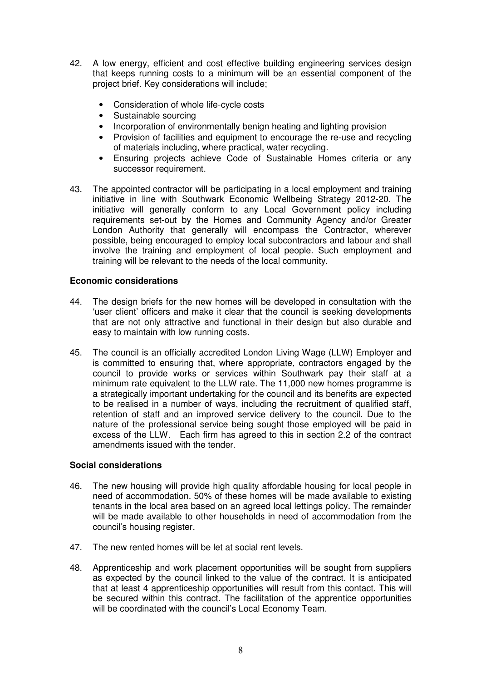- 42. A low energy, efficient and cost effective building engineering services design that keeps running costs to a minimum will be an essential component of the project brief. Key considerations will include;
	- Consideration of whole life-cycle costs
	- Sustainable sourcing
	- Incorporation of environmentally benign heating and lighting provision
	- Provision of facilities and equipment to encourage the re-use and recycling of materials including, where practical, water recycling.
	- Ensuring projects achieve Code of Sustainable Homes criteria or any successor requirement.
- 43. The appointed contractor will be participating in a local employment and training initiative in line with Southwark Economic Wellbeing Strategy 2012-20. The initiative will generally conform to any Local Government policy including requirements set-out by the Homes and Community Agency and/or Greater London Authority that generally will encompass the Contractor, wherever possible, being encouraged to employ local subcontractors and labour and shall involve the training and employment of local people. Such employment and training will be relevant to the needs of the local community.

#### **Economic considerations**

- 44. The design briefs for the new homes will be developed in consultation with the 'user client' officers and make it clear that the council is seeking developments that are not only attractive and functional in their design but also durable and easy to maintain with low running costs.
- 45. The council is an officially accredited London Living Wage (LLW) Employer and is committed to ensuring that, where appropriate, contractors engaged by the council to provide works or services within Southwark pay their staff at a minimum rate equivalent to the LLW rate. The 11,000 new homes programme is a strategically important undertaking for the council and its benefits are expected to be realised in a number of ways, including the recruitment of qualified staff, retention of staff and an improved service delivery to the council. Due to the nature of the professional service being sought those employed will be paid in excess of the LLW. Each firm has agreed to this in section 2.2 of the contract amendments issued with the tender.

#### **Social considerations**

- 46. The new housing will provide high quality affordable housing for local people in need of accommodation. 50% of these homes will be made available to existing tenants in the local area based on an agreed local lettings policy. The remainder will be made available to other households in need of accommodation from the council's housing register.
- 47. The new rented homes will be let at social rent levels.
- 48. Apprenticeship and work placement opportunities will be sought from suppliers as expected by the council linked to the value of the contract. It is anticipated that at least 4 apprenticeship opportunities will result from this contact. This will be secured within this contract. The facilitation of the apprentice opportunities will be coordinated with the council's Local Economy Team.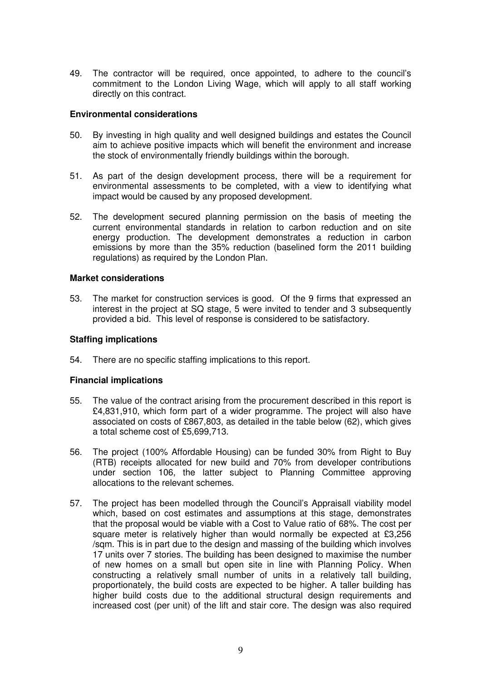49. The contractor will be required, once appointed, to adhere to the council's commitment to the London Living Wage, which will apply to all staff working directly on this contract.

#### **Environmental considerations**

- 50. By investing in high quality and well designed buildings and estates the Council aim to achieve positive impacts which will benefit the environment and increase the stock of environmentally friendly buildings within the borough.
- 51. As part of the design development process, there will be a requirement for environmental assessments to be completed, with a view to identifying what impact would be caused by any proposed development.
- 52. The development secured planning permission on the basis of meeting the current environmental standards in relation to carbon reduction and on site energy production. The development demonstrates a reduction in carbon emissions by more than the 35% reduction (baselined form the 2011 building regulations) as required by the London Plan.

#### **Market considerations**

53. The market for construction services is good. Of the 9 firms that expressed an interest in the project at SQ stage, 5 were invited to tender and 3 subsequently provided a bid. This level of response is considered to be satisfactory.

#### **Staffing implications**

54. There are no specific staffing implications to this report.

#### **Financial implications**

- 55. The value of the contract arising from the procurement described in this report is £4,831,910, which form part of a wider programme. The project will also have associated on costs of £867,803, as detailed in the table below (62), which gives a total scheme cost of £5,699,713.
- 56. The project (100% Affordable Housing) can be funded 30% from Right to Buy (RTB) receipts allocated for new build and 70% from developer contributions under section 106, the latter subject to Planning Committee approving allocations to the relevant schemes.
- 57. The project has been modelled through the Council's Appraisall viability model which, based on cost estimates and assumptions at this stage, demonstrates that the proposal would be viable with a Cost to Value ratio of 68%. The cost per square meter is relatively higher than would normally be expected at £3,256 /sqm. This is in part due to the design and massing of the building which involves 17 units over 7 stories. The building has been designed to maximise the number of new homes on a small but open site in line with Planning Policy. When constructing a relatively small number of units in a relatively tall building, proportionately, the build costs are expected to be higher. A taller building has higher build costs due to the additional structural design requirements and increased cost (per unit) of the lift and stair core. The design was also required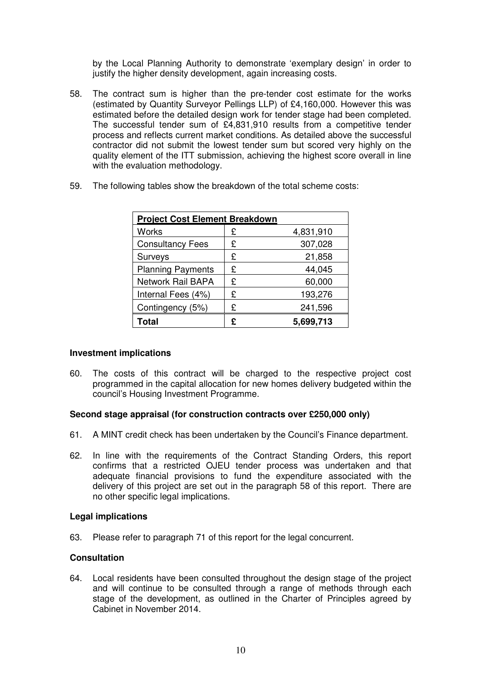by the Local Planning Authority to demonstrate 'exemplary design' in order to justify the higher density development, again increasing costs.

58. The contract sum is higher than the pre-tender cost estimate for the works (estimated by Quantity Surveyor Pellings LLP) of £4,160,000. However this was estimated before the detailed design work for tender stage had been completed. The successful tender sum of £4,831,910 results from a competitive tender process and reflects current market conditions. As detailed above the successful contractor did not submit the lowest tender sum but scored very highly on the quality element of the ITT submission, achieving the highest score overall in line with the evaluation methodology.

| <b>Project Cost Element Breakdown</b> |   |           |
|---------------------------------------|---|-----------|
| <b>Works</b>                          | £ | 4,831,910 |
| <b>Consultancy Fees</b>               | £ | 307,028   |
| Surveys                               | £ | 21,858    |
| <b>Planning Payments</b>              | £ | 44,045    |
| <b>Network Rail BAPA</b>              | £ | 60,000    |
| Internal Fees (4%)                    | £ | 193,276   |
| Contingency (5%)                      | £ | 241,596   |
| Total                                 | £ | 5,699,713 |

59. The following tables show the breakdown of the total scheme costs:

#### **Investment implications**

60. The costs of this contract will be charged to the respective project cost programmed in the capital allocation for new homes delivery budgeted within the council's Housing Investment Programme.

#### **Second stage appraisal (for construction contracts over £250,000 only)**

- 61. A MINT credit check has been undertaken by the Council's Finance department.
- 62. In line with the requirements of the Contract Standing Orders, this report confirms that a restricted OJEU tender process was undertaken and that adequate financial provisions to fund the expenditure associated with the delivery of this project are set out in the paragraph 58 of this report. There are no other specific legal implications.

#### **Legal implications**

63. Please refer to paragraph 71 of this report for the legal concurrent.

#### **Consultation**

64. Local residents have been consulted throughout the design stage of the project and will continue to be consulted through a range of methods through each stage of the development, as outlined in the Charter of Principles agreed by Cabinet in November 2014.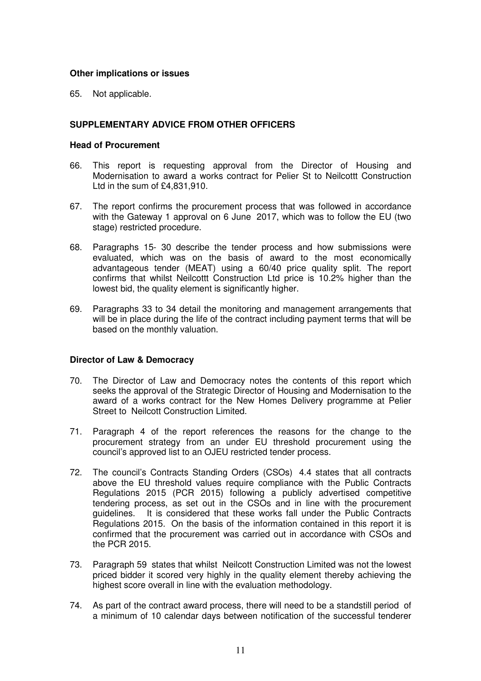#### **Other implications or issues**

65. Not applicable.

## **SUPPLEMENTARY ADVICE FROM OTHER OFFICERS**

#### **Head of Procurement**

- 66. This report is requesting approval from the Director of Housing and Modernisation to award a works contract for Pelier St to Neilcottt Construction Ltd in the sum of £4,831,910.
- 67. The report confirms the procurement process that was followed in accordance with the Gateway 1 approval on 6 June 2017, which was to follow the EU (two stage) restricted procedure.
- 68. Paragraphs 15- 30 describe the tender process and how submissions were evaluated, which was on the basis of award to the most economically advantageous tender (MEAT) using a 60/40 price quality split. The report confirms that whilst Neilcottt Construction Ltd price is 10.2% higher than the lowest bid, the quality element is significantly higher.
- 69. Paragraphs 33 to 34 detail the monitoring and management arrangements that will be in place during the life of the contract including payment terms that will be based on the monthly valuation.

#### **Director of Law & Democracy**

- 70. The Director of Law and Democracy notes the contents of this report which seeks the approval of the Strategic Director of Housing and Modernisation to the award of a works contract for the New Homes Delivery programme at Pelier Street to Neilcott Construction Limited.
- 71. Paragraph 4 of the report references the reasons for the change to the procurement strategy from an under EU threshold procurement using the council's approved list to an OJEU restricted tender process.
- 72. The council's Contracts Standing Orders (CSOs) 4.4 states that all contracts above the EU threshold values require compliance with the Public Contracts Regulations 2015 (PCR 2015) following a publicly advertised competitive tendering process, as set out in the CSOs and in line with the procurement guidelines. It is considered that these works fall under the Public Contracts Regulations 2015. On the basis of the information contained in this report it is confirmed that the procurement was carried out in accordance with CSOs and the PCR 2015.
- 73. Paragraph 59 states that whilst Neilcott Construction Limited was not the lowest priced bidder it scored very highly in the quality element thereby achieving the highest score overall in line with the evaluation methodology.
- 74. As part of the contract award process, there will need to be a standstill period of a minimum of 10 calendar days between notification of the successful tenderer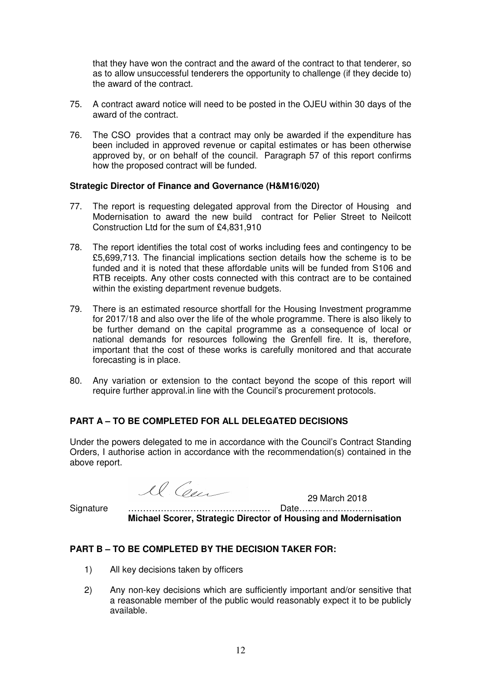that they have won the contract and the award of the contract to that tenderer, so as to allow unsuccessful tenderers the opportunity to challenge (if they decide to) the award of the contract.

- 75. A contract award notice will need to be posted in the OJEU within 30 days of the award of the contract.
- 76. The CSO provides that a contract may only be awarded if the expenditure has been included in approved revenue or capital estimates or has been otherwise approved by, or on behalf of the council. Paragraph 57 of this report confirms how the proposed contract will be funded.

#### **Strategic Director of Finance and Governance (H&M16/020)**

- 77. The report is requesting delegated approval from the Director of Housing and Modernisation to award the new build contract for Pelier Street to Neilcott Construction Ltd for the sum of £4,831,910
- 78. The report identifies the total cost of works including fees and contingency to be £5,699,713. The financial implications section details how the scheme is to be funded and it is noted that these affordable units will be funded from S106 and RTB receipts. Any other costs connected with this contract are to be contained within the existing department revenue budgets.
- 79. There is an estimated resource shortfall for the Housing Investment programme for 2017/18 and also over the life of the whole programme. There is also likely to be further demand on the capital programme as a consequence of local or national demands for resources following the Grenfell fire. It is, therefore, important that the cost of these works is carefully monitored and that accurate forecasting is in place.
- 80. Any variation or extension to the contact beyond the scope of this report will require further approval.in line with the Council's procurement protocols.

# **PART A – TO BE COMPLETED FOR ALL DELEGATED DECISIONS**

Under the powers delegated to me in accordance with the Council's Contract Standing Orders, I authorise action in accordance with the recommendation(s) contained in the above report.

29 March 2018

Signature ………………………………………… Date…………………….  **Michael Scorer, Strategic Director of Housing and Modernisation** 

#### **PART B – TO BE COMPLETED BY THE DECISION TAKER FOR:**

- 1) All key decisions taken by officers
- 2) Any non-key decisions which are sufficiently important and/or sensitive that a reasonable member of the public would reasonably expect it to be publicly available.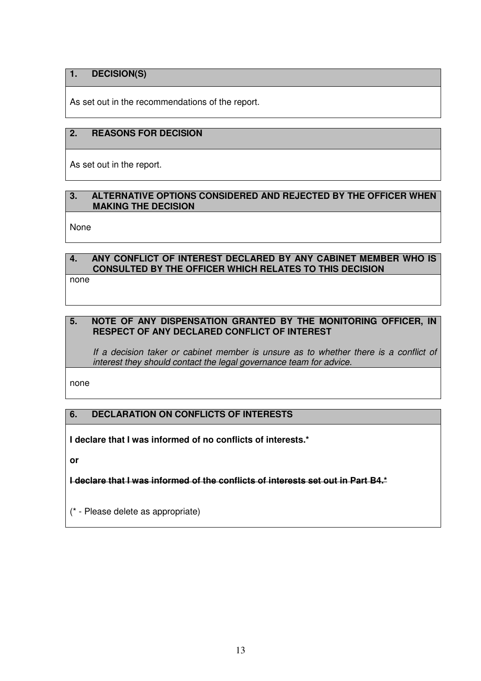# **1. DECISION(S)**

As set out in the recommendations of the report.

# **2. REASONS FOR DECISION**

As set out in the report.

#### **3. ALTERNATIVE OPTIONS CONSIDERED AND REJECTED BY THE OFFICER WHEN MAKING THE DECISION**

None

# **4. ANY CONFLICT OF INTEREST DECLARED BY ANY CABINET MEMBER WHO IS CONSULTED BY THE OFFICER WHICH RELATES TO THIS DECISION**

none

# **5. NOTE OF ANY DISPENSATION GRANTED BY THE MONITORING OFFICER, IN RESPECT OF ANY DECLARED CONFLICT OF INTEREST**

If a decision taker or cabinet member is unsure as to whether there is a conflict of interest they should contact the legal governance team for advice.

none

# **6. DECLARATION ON CONFLICTS OF INTERESTS**

**I declare that I was informed of no conflicts of interests.\*** 

**or** 

**I declare that I was informed of the conflicts of interests set out in Part B4.\*** 

(\* - Please delete as appropriate)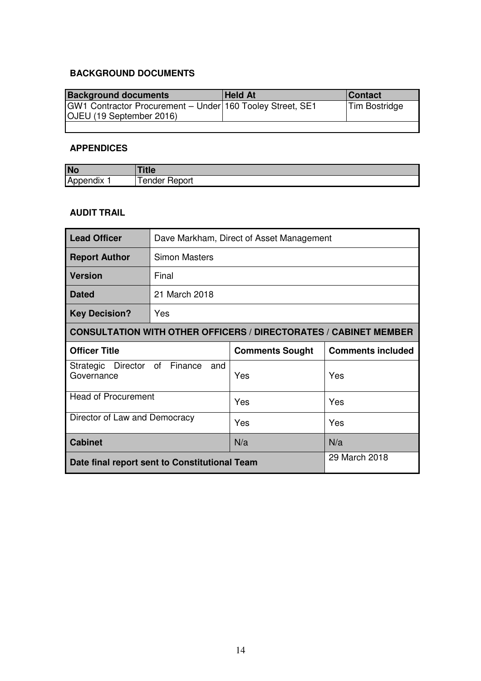# **BACKGROUND DOCUMENTS**

| <b>Background documents</b>                                                                  | <b>Held At</b> | <b>Contact</b> |
|----------------------------------------------------------------------------------------------|----------------|----------------|
| GW1 Contractor Procurement - Under 160 Tooley Street, SE1<br><b>OJEU</b> (19 September 2016) |                | Tim Bostridge  |
|                                                                                              |                |                |

# **APPENDICES**

| <b>No</b>          | TUC          |
|--------------------|--------------|
| <br>I Ac<br>bendix | ender Report |

# **AUDIT TRAIL**

| <b>Lead Officer</b>                                                     | Dave Markham, Direct of Asset Management           |               |     |  |  |
|-------------------------------------------------------------------------|----------------------------------------------------|---------------|-----|--|--|
| <b>Report Author</b>                                                    | <b>Simon Masters</b>                               |               |     |  |  |
| <b>Version</b>                                                          | Final                                              |               |     |  |  |
| <b>Dated</b>                                                            | 21 March 2018                                      |               |     |  |  |
| <b>Key Decision?</b>                                                    | Yes                                                |               |     |  |  |
| <b>CONSULTATION WITH OTHER OFFICERS / DIRECTORATES / CABINET MEMBER</b> |                                                    |               |     |  |  |
| <b>Officer Title</b>                                                    | <b>Comments included</b><br><b>Comments Sought</b> |               |     |  |  |
| Director of<br>Finance<br>Strategic<br>and<br>Governance                |                                                    | Yes           | Yes |  |  |
| <b>Head of Procurement</b>                                              |                                                    | Yes           | Yes |  |  |
| Director of Law and Democracy                                           |                                                    | Yes           | Yes |  |  |
| <b>Cabinet</b>                                                          |                                                    | N/a           | N/a |  |  |
| Date final report sent to Constitutional Team                           |                                                    | 29 March 2018 |     |  |  |